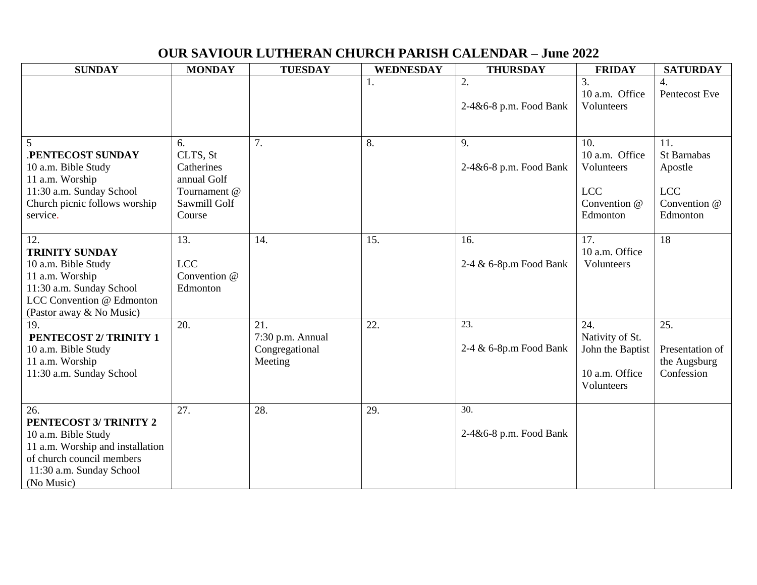## **OUR SAVIOUR LUTHERAN CHURCH PARISH CALENDAR – June 2022**

| <b>SUNDAY</b>                            | <b>MONDAY</b>          | <b>TUESDAY</b>          | <b>WEDNESDAY</b> | <b>THURSDAY</b>          | <b>FRIDAY</b>          | <b>SATURDAY</b>     |
|------------------------------------------|------------------------|-------------------------|------------------|--------------------------|------------------------|---------------------|
|                                          |                        |                         |                  | 2.                       | 3.<br>10 a.m. Office   | 4.<br>Pentecost Eve |
|                                          |                        |                         |                  | 2-4&6-8 p.m. Food Bank   | Volunteers             |                     |
|                                          |                        |                         |                  |                          |                        |                     |
|                                          |                        |                         |                  |                          |                        |                     |
| 5                                        | 6.                     | 7.                      | 8.               | 9.                       | 10.<br>10 a.m. Office  | 11.<br>St Barnabas  |
| .PENTECOST SUNDAY<br>10 a.m. Bible Study | CLTS, St<br>Catherines |                         |                  | 2-4&6-8 p.m. Food Bank   | Volunteers             | Apostle             |
| 11 a.m. Worship                          | annual Golf            |                         |                  |                          |                        |                     |
| 11:30 a.m. Sunday School                 | Tournament @           |                         |                  |                          | <b>LCC</b>             | <b>LCC</b>          |
| Church picnic follows worship            | Sawmill Golf           |                         |                  |                          | Convention @           | Convention @        |
| service.                                 | Course                 |                         |                  |                          | Edmonton               | Edmonton            |
| 12.                                      | 13.                    | 14.                     | 15.              | 16.                      | 17.                    | 18                  |
| <b>TRINITY SUNDAY</b>                    |                        |                         |                  |                          | 10 a.m. Office         |                     |
| 10 a.m. Bible Study                      | <b>LCC</b>             |                         |                  | 2-4 & 6-8p.m Food Bank   | Volunteers             |                     |
| 11 a.m. Worship                          | Convention @           |                         |                  |                          |                        |                     |
| 11:30 a.m. Sunday School                 | Edmonton               |                         |                  |                          |                        |                     |
| LCC Convention @ Edmonton                |                        |                         |                  |                          |                        |                     |
| (Pastor away & No Music)                 |                        |                         |                  |                          |                        |                     |
| 19.<br>PENTECOST 2/ TRINITY 1            | 20.                    | 21.<br>7:30 p.m. Annual | 22.              | 23.                      | 24.<br>Nativity of St. | 25.                 |
| 10 a.m. Bible Study                      |                        | Congregational          |                  | 2-4 & 6-8p.m Food Bank   | John the Baptist       | Presentation of     |
| 11 a.m. Worship                          |                        | Meeting                 |                  |                          |                        | the Augsburg        |
| 11:30 a.m. Sunday School                 |                        |                         |                  |                          | 10 a.m. Office         | Confession          |
|                                          |                        |                         |                  |                          | Volunteers             |                     |
|                                          |                        |                         |                  |                          |                        |                     |
| 26.<br>PENTECOST 3/ TRINITY 2            | 27.                    | 28.                     | 29.              | $\overline{30}$ .        |                        |                     |
| 10 a.m. Bible Study                      |                        |                         |                  | $2-4&6-8$ p.m. Food Bank |                        |                     |
| 11 a.m. Worship and installation         |                        |                         |                  |                          |                        |                     |
| of church council members                |                        |                         |                  |                          |                        |                     |
| 11:30 a.m. Sunday School                 |                        |                         |                  |                          |                        |                     |
| (No Music)                               |                        |                         |                  |                          |                        |                     |